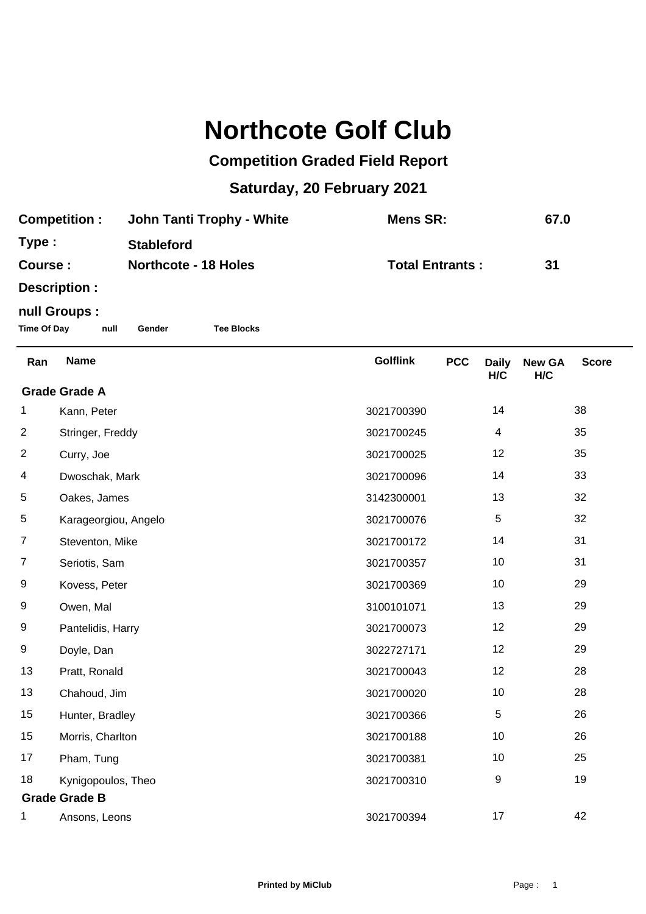## **Northcote Golf Club**

## **Competition Graded Field Report**

## **Saturday, 20 February 2021**

| <b>Competition:</b> | John Tanti Trophy - White   | Mens SR:               | 67.0 |
|---------------------|-----------------------------|------------------------|------|
| Type:               | <b>Stableford</b>           |                        |      |
| Course :            | <b>Northcote - 18 Holes</b> | <b>Total Entrants:</b> | -31  |
| Docorintion,        |                             |                        |      |

**Description :**

## **null Groups :**

**Time Of Day null Gender Tee Blocks**

| Ran                  | <b>Name</b>          | <b>Golflink</b> | <b>PCC</b> | <b>Daily</b><br>H/C | <b>New GA</b><br>H/C | <b>Score</b> |  |
|----------------------|----------------------|-----------------|------------|---------------------|----------------------|--------------|--|
| <b>Grade Grade A</b> |                      |                 |            |                     |                      |              |  |
| 1                    | Kann, Peter          | 3021700390      |            | 14                  |                      | 38           |  |
| $\overline{c}$       | Stringer, Freddy     | 3021700245      |            | 4                   |                      | 35           |  |
| $\overline{2}$       | Curry, Joe           | 3021700025      |            | 12                  |                      | 35           |  |
| 4                    | Dwoschak, Mark       | 3021700096      |            | 14                  |                      | 33           |  |
| 5                    | Oakes, James         | 3142300001      |            | 13                  |                      | 32           |  |
| 5                    | Karageorgiou, Angelo | 3021700076      |            | 5                   |                      | 32           |  |
| $\overline{7}$       | Steventon, Mike      | 3021700172      |            | 14                  |                      | 31           |  |
| $\overline{7}$       | Seriotis, Sam        | 3021700357      |            | 10                  |                      | 31           |  |
| 9                    | Kovess, Peter        | 3021700369      |            | 10                  |                      | 29           |  |
| 9                    | Owen, Mal            | 3100101071      |            | 13                  |                      | 29           |  |
| 9                    | Pantelidis, Harry    | 3021700073      |            | 12                  |                      | 29           |  |
| 9                    | Doyle, Dan           | 3022727171      |            | 12                  |                      | 29           |  |
| 13                   | Pratt, Ronald        | 3021700043      |            | 12                  |                      | 28           |  |
| 13                   | Chahoud, Jim         | 3021700020      |            | 10                  |                      | 28           |  |
| 15                   | Hunter, Bradley      | 3021700366      |            | $\,$ 5 $\,$         |                      | 26           |  |
| 15                   | Morris, Charlton     | 3021700188      |            | 10                  |                      | 26           |  |
| 17                   | Pham, Tung           | 3021700381      |            | 10                  |                      | 25           |  |
| 18                   | Kynigopoulos, Theo   | 3021700310      |            | 9                   |                      | 19           |  |
| <b>Grade Grade B</b> |                      |                 |            |                     |                      |              |  |
| 1                    | Ansons, Leons        | 3021700394      |            | 17                  |                      | 42           |  |